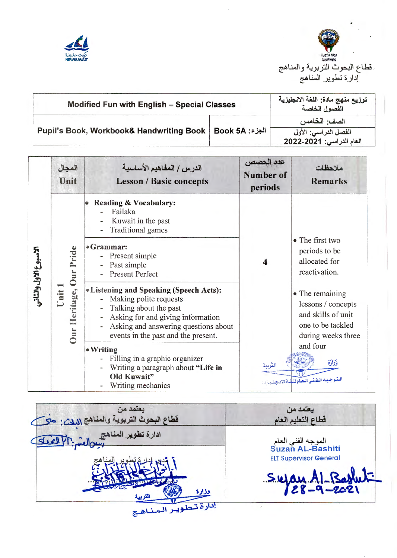



| <b>Modified Fun with English - Special Classes</b>  |                | توزيع منهج مادة: اللغة الانجليزية<br>الفصول الخاصة |
|-----------------------------------------------------|----------------|----------------------------------------------------|
| <b>Pupil's Book, Workbook&amp; Handwriting Book</b> | الجزء: Book 5A | الصف: الخامس<br>الفصل الدراسي: الأول               |
|                                                     |                | العام الدراسي: 2021-2022                           |

|                      | المجال<br>Unit                                          | الدرس / المفاهيم الأساسية<br><b>Lesson / Basic concepts</b>                                                                                                                                                                                                                                                                                                                                                                                                                                                              | عدد الحصص<br><b>Number of</b><br>periods | ملاحظات<br><b>Remarks</b>                                                                                                                                                                                                                     |
|----------------------|---------------------------------------------------------|--------------------------------------------------------------------------------------------------------------------------------------------------------------------------------------------------------------------------------------------------------------------------------------------------------------------------------------------------------------------------------------------------------------------------------------------------------------------------------------------------------------------------|------------------------------------------|-----------------------------------------------------------------------------------------------------------------------------------------------------------------------------------------------------------------------------------------------|
| لاسبوع الاول والثاني | Pride<br>eritage, Our<br><b>Unit</b><br>Ě<br><b>Dur</b> | <b>Reading &amp; Vocabulary:</b><br>Failaka<br>Kuwait in the past<br><b>Traditional games</b><br>•Grammar:<br>Present simple<br>Past simple<br><b>Present Perfect</b><br><b>.</b> Listening and Speaking (Speech Acts):<br>Making polite requests<br>Talking about the past<br>Asking for and giving information<br>Asking and answering questions about<br>events in the past and the present.<br>• Writing<br>Filling in a graphic organizer<br>Writing a paragraph about "Life in<br>Old Kuwait"<br>Writing mechanics | 4                                        | • The first two<br>periods to be<br>allocated for<br>reactivation.<br>• The remaining<br>lessons / concepts<br>and skills of unit<br>one to be tackled<br>during weeks three<br>and four<br>وَزَارَة<br>ليتوجيده الفنني العام للشة الإذعيلي/م |

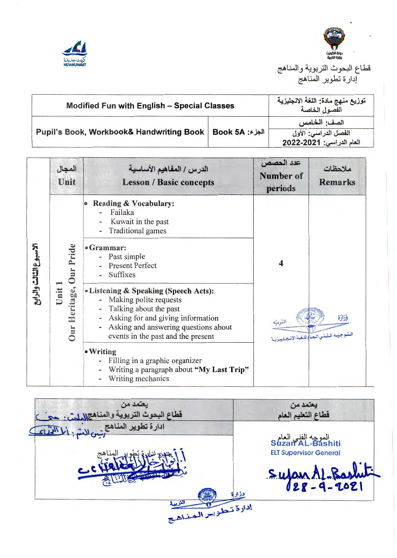



قطاع البحوث التربوية والمناهج إدارة تطوير المناهج

| <b>Modified Fun with English - Special Classes</b> |                | توزيع منهج مادة: اللغة الانجليزية<br>الفصول الخاصة               |
|----------------------------------------------------|----------------|------------------------------------------------------------------|
| Pupil's Book, Workbook& Handwriting Book           | الجزء: Book 5A | الصف: الخامس<br>الفصل الدراسي: الأول<br>العام الدراسي: 2021-2022 |

|                       | المجال<br>Unit                 | الدرس / المفاهيم الأساسية<br><b>Lesson / Basic concepts</b>                                                                                                                                                    | عدد الحصص<br>Number of<br>periods                | ملاحظات<br><b>Remarks</b> |
|-----------------------|--------------------------------|----------------------------------------------------------------------------------------------------------------------------------------------------------------------------------------------------------------|--------------------------------------------------|---------------------------|
| لاسبوع الثالث والرابع |                                | Reading & Vocabulary:<br>Failaka<br>Kuwait in the past<br>Traditional games                                                                                                                                    |                                                  |                           |
|                       | Pride<br>Our                   | •Grammar:<br>- Past simple<br><b>Present Perfect</b><br>Suffixes                                                                                                                                               | 4<br>البتوجيده التفني العبأ للغبة الإنبجيلييزيية |                           |
|                       | Heritage,<br>iit<br><b>Our</b> | • Listening & Speaking (Speech Acts):<br>- Making polite requests<br>Talking about the past<br>Asking for and giving information<br>Asking and answering questions about<br>events in the past and the present |                                                  | وَزَارَة                  |
|                       |                                | • Writing<br>Filling in a graphic organizer<br>Writing a paragraph about "My Last Trip"<br>Writing mechanics                                                                                                   |                                                  |                           |

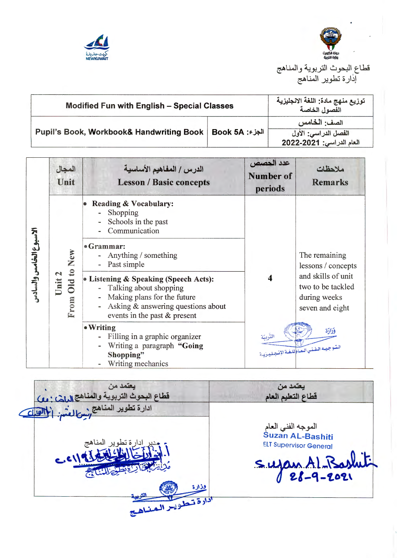



قطاع البحوث التربوية والمنا إدارة تطوير المناهج

| <b>Modified Fun with English - Special Classes</b>  |                | توزيع منهج مادة: اللغة الانجليزية<br>الفصول الخاصة               |
|-----------------------------------------------------|----------------|------------------------------------------------------------------|
| <b>Pupil's Book, Workbook&amp; Handwriting Book</b> | الجزء: Book 5A | الصف: الخامس<br>الفصل الدراسي: الأول<br>العام الدراسي: 2021-2022 |

|                    | المجال<br>Unit                           | الدرس / المفاهيم الأساسية<br><b>Lesson / Basic concepts</b>                                                                                                            | عدد الحصص<br>Number of<br>periods | ملاحظات<br><b>Remarks</b>                                                  |
|--------------------|------------------------------------------|------------------------------------------------------------------------------------------------------------------------------------------------------------------------|-----------------------------------|----------------------------------------------------------------------------|
| ঈ                  |                                          | <b>Reading &amp; Vocabulary:</b><br>Shopping<br>Schools in the past<br>Communication                                                                                   |                                   |                                                                            |
|                    | New                                      | • Grammar:<br>Anything / something<br>Past simple                                                                                                                      |                                   | The remaining<br>lessons / concepts                                        |
| بوع الخامس والسادس | Old to 1<br>$\mathbf{z}$<br>Unit<br>From | • Listening & Speaking (Speech Acts):<br>- Talking about shopping<br>Making plans for the future<br>Asking & answering questions about<br>events in the past & present | 4                                 | and skills of unit<br>two to be tackled<br>during weeks<br>seven and eight |
|                    |                                          | • Writing<br>Filling in a graphic organizer<br>Writing a paragraph "Going<br>Shopping"<br>Writing mechanics                                                            | التربية                           | فزارة<br>الستوجيد الفني العام للغة الإنبصليرية                             |

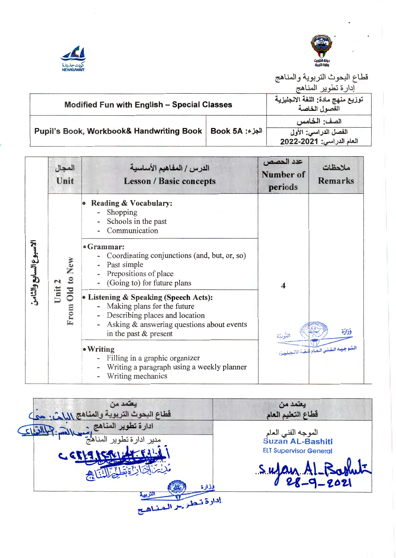



قطاع البحوث التربوية والمناهج

إداره بطوير المناهج

| <b>Modified Fun with English - Special Classes</b>           | توزيع منهج مادة: اللغة الانجليزية<br>الفصول الخاصة |
|--------------------------------------------------------------|----------------------------------------------------|
| Pupil's Book, Workbook& Handwriting Book   Book 5A الجزء: 68 | الصف: الخامس<br>الفصل الدراسي: الأول               |
|                                                              | العام الدراسي: 2021-2022                           |

|                       | المجال<br>Unit | الدرس / المفاهيم الأساسية<br><b>Lesson / Basic concepts</b>                                                                                                                    | عدد الحصص<br>Number of<br>periods | ملاحظات<br><b>Remarks</b>              |
|-----------------------|----------------|--------------------------------------------------------------------------------------------------------------------------------------------------------------------------------|-----------------------------------|----------------------------------------|
| لاسبوع السابع والثامن | Old to New     | Reading & Vocabulary:<br>Shopping<br>Schools in the past<br>Communication                                                                                                      | $\boldsymbol{\Delta}$             |                                        |
|                       |                | • Grammar:<br>Coordinating conjunctions (and, but, or, so)<br>Past simple<br>Prepositions of place<br>(Going to) for future plans                                              |                                   |                                        |
|                       | Unit 2<br>From | • Listening & Speaking (Speech Acts):<br>Making plans for the future<br>- Describing places and location<br>Asking & answering questions about events<br>in the past & present |                                   | فزارة                                  |
|                       |                | • Writing<br>Filling in a graphic organizer<br>Writing a paragraph using a weekly planner<br>Writing mechanics                                                                 |                                   | المتوجيده الفنني العام للغدة الانجليزد |

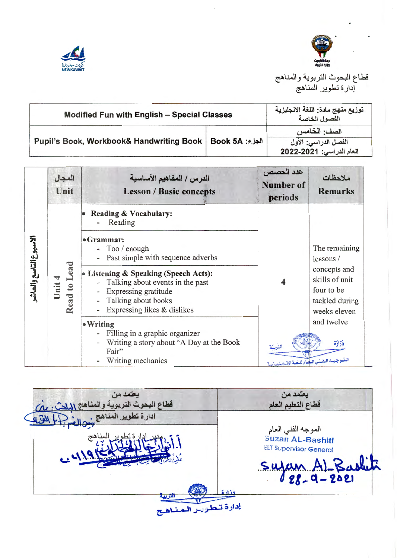



قطاع البحوث التربوية والمناهج<br>إدارة تطوير المناهج

| <b>Modified Fun with English - Special Classes</b>                   | توزيع منهج مادة: اللغة الانجليزية<br>الفصول الخاصة |
|----------------------------------------------------------------------|----------------------------------------------------|
|                                                                      | الصف: الخامس                                       |
| Pupil's Book, Workbook& Handwriting Book   Book 5A الجزء: 68 Pupil's | الفصل الدراسي: الأول<br>العام الدراسي: 2021-2022   |

|                    | المجال<br>Unit          | الدرس / المفاهيم الأساسية<br><b>Lesson / Basic concepts</b>                                                                                                                                                                                                                                                                                                                                                         | عدد الحصص<br>Number of<br>periods                                                  | ملاحظات<br><b>Remarks</b>                                                                                                          |
|--------------------|-------------------------|---------------------------------------------------------------------------------------------------------------------------------------------------------------------------------------------------------------------------------------------------------------------------------------------------------------------------------------------------------------------------------------------------------------------|------------------------------------------------------------------------------------|------------------------------------------------------------------------------------------------------------------------------------|
| ببونالتاسع والعاشه | Lead<br>Read to<br>Unit | <b>Reading &amp; Vocabulary:</b><br>Reading<br>$•Grammar$ :<br>- Too / enough<br>Past simple with sequence adverbs<br>• Listening & Speaking (Speech Acts):<br>- Talking about events in the past<br>Expressing gratitude<br>Talking about books<br>Expressing likes & dislikes<br>$\bullet$ Writing<br>- Filling in a graphic organizer<br>Writing a story about "A Day at the Book"<br>Fair"<br>Writing mechanics | $\overline{\mathbf{4}}$<br>التربية<br>المتسوجيسه المفني البهام للغية الإضتصلييزيية | The remaining<br>lessons/<br>concepts and<br>skills of unit<br>four to be<br>tackled during<br>weeks eleven<br>and twelve<br>فذارة |